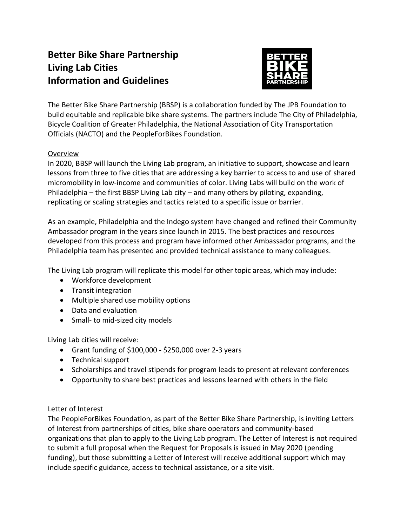# **Better Bike Share Partnership Living Lab Cities Information and Guidelines**



The Better Bike Share Partnership (BBSP) is a collaboration funded by The JPB Foundation to build equitable and replicable bike share systems. The partners include The City of Philadelphia, Bicycle Coalition of Greater Philadelphia, the National Association of City Transportation Officials (NACTO) and the PeopleForBikes Foundation.

## **Overview**

In 2020, BBSP will launch the Living Lab program, an initiative to support, showcase and learn lessons from three to five cities that are addressing a key barrier to access to and use of shared micromobility in low-income and communities of color. Living Labs will build on the work of Philadelphia – the first BBSP Living Lab city – and many others by piloting, expanding, replicating or scaling strategies and tactics related to a specific issue or barrier.

As an example, Philadelphia and the Indego system have changed and refined their Community Ambassador program in the years since launch in 2015. The best practices and resources developed from this process and program have informed other Ambassador programs, and the Philadelphia team has presented and provided technical assistance to many colleagues.

The Living Lab program will replicate this model for other topic areas, which may include:

- Workforce development
- Transit integration
- Multiple shared use mobility options
- Data and evaluation
- Small- to mid-sized city models

Living Lab cities will receive:

- Grant funding of \$100,000 \$250,000 over 2-3 years
- Technical support
- Scholarships and travel stipends for program leads to present at relevant conferences
- Opportunity to share best practices and lessons learned with others in the field

### Letter of Interest

The PeopleForBikes Foundation, as part of the Better Bike Share Partnership, is inviting Letters of Interest from partnerships of cities, bike share operators and community-based organizations that plan to apply to the Living Lab program. The Letter of Interest is not required to submit a full proposal when the Request for Proposals is issued in May 2020 (pending funding), but those submitting a Letter of Interest will receive additional support which may include specific guidance, access to technical assistance, or a site visit.